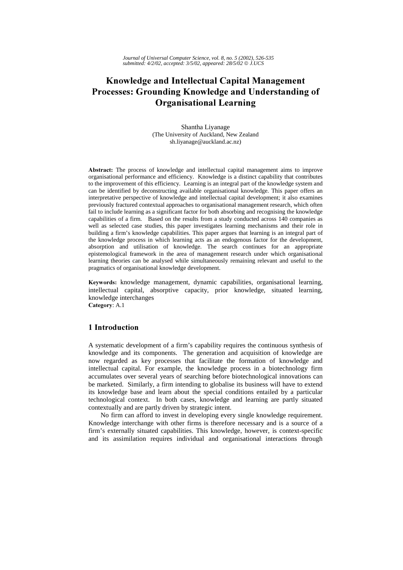# Knowledge and Intellectual Capital Management Processes: Grounding Knowledge and Understanding of **Organisational Learning**

Shantha Liyanage (The University of Auckland, New Zealand sh.liyanage@auckland.ac.nz)

Abstract: The process of knowledge and intellectual capital management aims to improve organisational performance and efficiency. Knowledge is a distinct capability that contributes to the improvement of this efficiency. Learning is an integral part of the knowledge system and can be identified by deconstructing available organisational knowledge. This paper offers an interpretative perspective of knowledge and intellectual capital development; it also examines previously fractured contextual approaches to organisational management research, which often fail to include learning as a significant factor for both absorbing and recognising the knowledge capabilities of a firm. Based on the results from a study conducted across 140 companies as well as selected case studies, this paper investigates learning mechanisms and their role in building a firm's knowledge capabilities. This paper argues that learning is an integral part of the knowledge process in which learning acts as an endogenous factor for the development, absorption and utilisation of knowledge. The search continues for an appropriate epistemological framework in the area of management research under which organisational learning theories can be analysed while simultaneously remaining relevant and useful to the pragmatics of organisational knowledge development.

Keywords: knowledge management, dynamic capabilities, organisational learning, intellectual capital, absorptive capacity, prior knowledge, situated learning, knowledge interchanges

## Category: A.1

### 1 Introduction

A systematic development of a firm's capability requires the continuous synthesis of knowledge and its components. The generation and acquisition of knowledge are now regarded as key processes that facilitate the formation of knowledge and intellectual capital. For example, the knowledge process in a biotechnology firm accumulates over several years of searching before biotechnological innovations can be marketed. Similarly, a firm intending to globalise its business will have to extend its knowledge base and learn about the special conditions entailed by a particular technological context. In both cases, knowledge and learning are partly situated contextually and are partly driven by strategic intent.

No firm can afford to invest in developing every single knowledge requirement. Knowledge interchange with other firms is therefore necessary and is a source of a firm's externally situated capabilities. This knowledge, however, is context-specific and its assimilation requires individual and organisational interactions through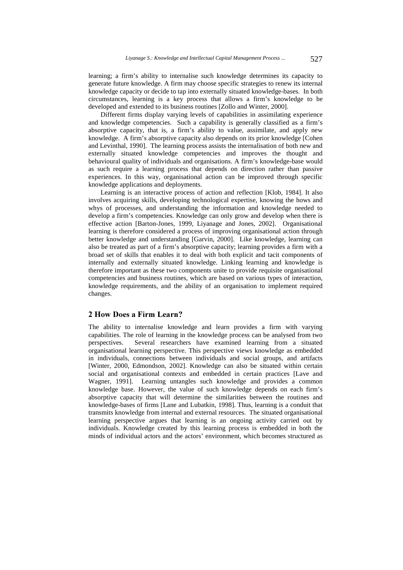learning; a firm's ability to internalise such knowledge determines its capacity to generate future knowledge. A firm may choose specific strategies to renew its internal knowledge capacity or decide to tap into externally situated knowledge-bases. In both circumstances, learning is a key process that allows a firm's knowledge to be developed and extended to its business routines [Zollo and Winter, 2000].

Different firms display varying levels of capabilities in assimilating experience and knowledge competencies. Such a capability is generally classified as a firm's absorptive capacity, that is, a firm's ability to value, assimilate, and apply new knowledge. A firm's absorptive capacity also depends on its prior knowledge [Cohen and Levinthal, 1990]. The learning process assists the internalisation of both new and externally situated knowledge competencies and improves the thought and behavioural quality of individuals and organisations. A firm's knowledge-base would as such require a learning process that depends on direction rather than passive experiences. In this way, organisational action can be improved through specific knowledge applications and deployments.

Learning is an interactive process of action and reflection [Klob, 1984]. It also involves acquiring skills, developing technological expertise, knowing the hows and whys of processes, and understanding the information and knowledge needed to develop a firm's competencies. Knowledge can only grow and develop when there is effective action [Barton-Jones, 1999, Liyanage and Jones, 2002]. Organisational learning is therefore considered a process of improving organisational action through better knowledge and understanding [Garvin, 2000]. Like knowledge, learning can also be treated as part of a firm's absorptive capacity; learning provides a firm with a broad set of skills that enables it to deal with both explicit and tacit components of internally and externally situated knowledge. Linking learning and knowledge is therefore important as these two components unite to provide requisite organisational competencies and business routines, which are based on various types of interaction, knowledge requirements, and the ability of an organisation to implement required changes.

### 2 How Does a Firm Learn?

The ability to internalise knowledge and learn provides a firm with varying capabilities. The role of learning in the knowledge process can be analysed from two perspectives. Several researchers have examined learning from a situated organisational learning perspective. This perspective views knowledge as embedded in individuals, connections between individuals and social groups, and artifacts [Winter, 2000, Edmondson, 2002]. Knowledge can also be situated within certain social and organisational contexts and embedded in certain practices [Lave and Wagner, 1991]. Learning untangles such knowledge and provides a common knowledge base. However, the value of such knowledge depends on each firm's absorptive capacity that will determine the similarities between the routines and knowledge-bases of firms [Lane and Lubatkin, 1998]. Thus, learning is a conduit that transmits knowledge from internal and external resources. The situated organisational learning perspective argues that learning is an ongoing activity carried out by individuals. Knowledge created by this learning process is embedded in both the minds of individual actors and the actors' environment, which becomes structured as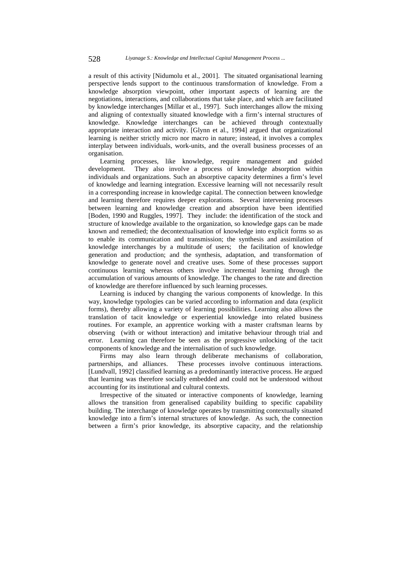a result of this activity [Nidumolu et al., 2001]. The situated organisational learning perspective lends support to the continuous transformation of knowledge. From a knowledge absorption viewpoint, other important aspects of learning are the negotiations, interactions, and collaborations that take place, and which are facilitated by knowledge interchanges [Millar et al., 1997]. Such interchanges allow the mixing and aligning of contextually situated knowledge with a firm's internal structures of knowledge. Knowledge interchanges can be achieved through contextually appropriate interaction and activity. [Glynn et al., 1994] argued that organizational learning is neither strictly micro nor macro in nature; instead, it involves a complex interplay between individuals, work-units, and the overall business processes of an organisation.

Learning processes, like knowledge, require management and guided development. They also involve a process of knowledge absorption within individuals and organizations. Such an absorptive capacity determines a firm's level of knowledge and learning integration. Excessive learning will not necessarily result in a corresponding increase in knowledge capital. The connection between knowledge and learning therefore requires deeper explorations. Several intervening processes between learning and knowledge creation and absorption have been identified [Boden, 1990 and Ruggles, 1997]. They include: the identification of the stock and structure of knowledge available to the organization, so knowledge gaps can be made known and remedied; the decontextualisation of knowledge into explicit forms so as to enable its communication and transmission; the synthesis and assimilation of knowledge interchanges by a multitude of users; the facilitation of knowledge generation and production; and the synthesis, adaptation, and transformation of knowledge to generate novel and creative uses. Some of these processes support continuous learning whereas others involve incremental learning through the accumulation of various amounts of knowledge. The changes to the rate and direction of knowledge are therefore influenced by such learning processes.

Learning is induced by changing the various components of knowledge. In this way, knowledge typologies can be varied according to information and data (explicit forms), thereby allowing a variety of learning possibilities. Learning also allows the translation of tacit knowledge or experiential knowledge into related business routines. For example, an apprentice working with a master craftsman learns by observing (with or without interaction) and imitative behaviour through trial and error. Learning can therefore be seen as the progressive unlocking of the tacit components of knowledge and the internalisation of such knowledge.

Firms may also learn through deliberate mechanisms of collaboration, partnerships, and alliances. These processes involve continuous interactions. [Lundvall, 1992] classified learning as a predominantly interactive process. He argued that learning was therefore socially embedded and could not be understood without accounting for its institutional and cultural contexts.

Irrespective of the situated or interactive components of knowledge, learning allows the transition from generalised capability building to specific capability building. The interchange of knowledge operates by transmitting contextually situated knowledge into a firm's internal structures of knowledge. As such, the connection between a firm's prior knowledge, its absorptive capacity, and the relationship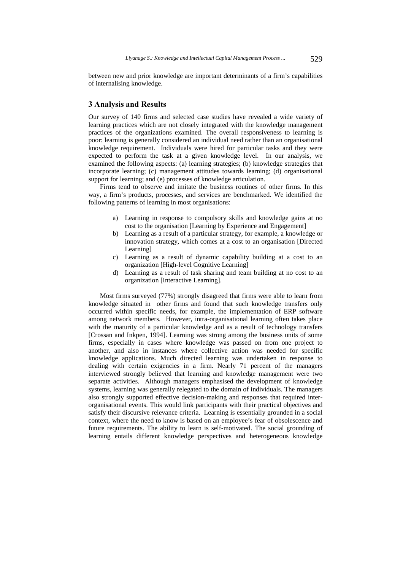between new and prior knowledge are important determinants of a firm's capabilities of internalising knowledge.

### 3 Analysis and Results

Our survey of 140 firms and selected case studies have revealed a wide variety of learning practices which are not closely integrated with the knowledge management practices of the organizations examined. The overall responsiveness to learning is poor: learning is generally considered an individual need rather than an organisational knowledge requirement. Individuals were hired for particular tasks and they were expected to perform the task at a given knowledge level. In our analysis, we examined the following aspects: (a) learning strategies; (b) knowledge strategies that incorporate learning; (c) management attitudes towards learning; (d) organisational support for learning; and (e) processes of knowledge articulation.

Firms tend to observe and imitate the business routines of other firms. In this way, a firm's products, processes, and services are benchmarked. We identified the following patterns of learning in most organisations:

- a) Learning in response to compulsory skills and knowledge gains at no cost to the organisation [Learning by Experience and Engagement]
- b) Learning as a result of a particular strategy, for example, a knowledge or innovation strategy, which comes at a cost to an organisation [Directed Learning]
- c) Learning as a result of dynamic capability building at a cost to an organization [High-level Cognitive Learning]
- d) Learning as a result of task sharing and team building at no cost to an organization [Interactive Learning].

Most firms surveyed (77%) strongly disagreed that firms were able to learn from knowledge situated in other firms and found that such knowledge transfers only occurred within specific needs, for example, the implementation of ERP software among network members. However, intra-organisational learning often takes place with the maturity of a particular knowledge and as a result of technology transfers [Crossan and Inkpen, 1994]. Learning was strong among the business units of some firms, especially in cases where knowledge was passed on from one project to another, and also in instances where collective action was needed for specific knowledge applications. Much directed learning was undertaken in response to dealing with certain exigencies in a firm. Nearly 71 percent of the managers interviewed strongly believed that learning and knowledge management were two separate activities. Although managers emphasised the development of knowledge systems, learning was generally relegated to the domain of individuals. The managers also strongly supported effective decision-making and responses that required interorganisational events. This would link participants with their practical objectives and satisfy their discursive relevance criteria. Learning is essentially grounded in a social context, where the need to know is based on an employee's fear of obsolescence and future requirements. The ability to learn is self-motivated. The social grounding of learning entails different knowledge perspectives and heterogeneous knowledge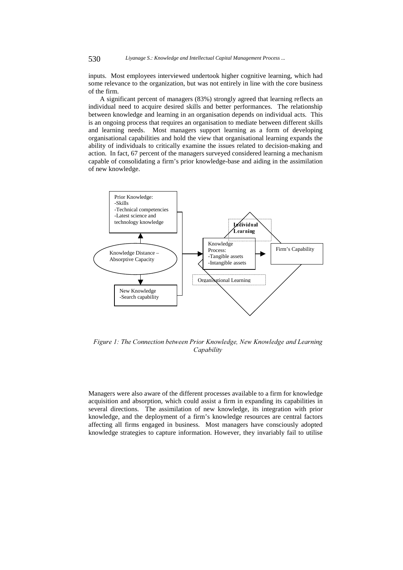inputs. Most employees interviewed undertook higher cognitive learning, which had some relevance to the organization, but was not entirely in line with the core business of the firm.

A significant percent of managers (83%) strongly agreed that learning reflects an individual need to acquire desired skills and better performances. The relationship between knowledge and learning in an organisation depends on individual acts. This is an ongoing process that requires an organisation to mediate between different skills and learning needs. Most managers support learning as a form of developing organisational capabilities and hold the view that organisational learning expands the ability of individuals to critically examine the issues related to decision-making and action. In fact, 67 percent of the managers surveyed considered learning a mechanism capable of consolidating a firm's prior knowledge-base and aiding in the assimilation of new knowledge.



Figure 1: The Connection between Prior Knowledge, New Knowledge and Learning Capability

Managers were also aware of the different processes available to a firm for knowledge acquisition and absorption, which could assist a firm in expanding its capabilities in several directions. The assimilation of new knowledge, its integration with prior knowledge, and the deployment of a firm's knowledge resources are central factors affecting all firms engaged in business. Most managers have consciously adopted knowledge strategies to capture information. However, they invariably fail to utilise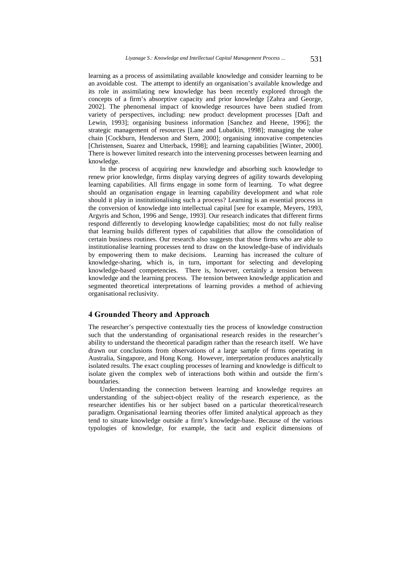learning as a process of assimilating available knowledge and consider learning to be an avoidable cost. The attempt to identify an organisation's available knowledge and its role in assimilating new knowledge has been recently explored through the concepts of a firm's absorptive capacity and prior knowledge [Zahra and George, 2002]. The phenomenal impact of knowledge resources have been studied from variety of perspectives, including: new product development processes [Daft and Lewin, 1993]; organising business information [Sanchez and Heene, 1996]; the strategic management of resources [Lane and Lubatkin, 1998]; managing the value chain [Cockburn, Henderson and Stern, 2000]; organising innovative competencies [Christensen, Suarez and Utterback, 1998]; and learning capabilities [Winter, 2000]. There is however limited research into the intervening processes between learning and knowledge.

In the process of acquiring new knowledge and absorbing such knowledge to renew prior knowledge, firms display varying degrees of agility towards developing learning capabilities. All firms engage in some form of learning. To what degree should an organisation engage in learning capability development and what role should it play in institutionalising such a process? Learning is an essential process in the conversion of knowledge into intellectual capital [see for example, Meyers, 1993, Argyris and Schon, 1996 and Senge, 1993]. Our research indicates that different firms respond differently to developing knowledge capabilities; most do not fully realise that learning builds different types of capabilities that allow the consolidation of certain business routines. Our research also suggests that those firms who are able to institutionalise learning processes tend to draw on the knowledge-base of individuals by empowering them to make decisions. Learning has increased the culture of knowledge-sharing, which is, in turn, important for selecting and developing knowledge-based competencies. There is, however, certainly a tension between knowledge and the learning process. The tension between knowledge application and segmented theoretical interpretations of learning provides a method of achieving organisational reclusivity.

### 4 Grounded Theory and Approach

The researcher's perspective contextually ties the process of knowledge construction such that the understanding of organisational research resides in the researcher's ability to understand the theoretical paradigm rather than the research itself. We have drawn our conclusions from observations of a large sample of firms operating in Australia, Singapore, and Hong Kong. However, interpretation produces analytically isolated results. The exact coupling processes of learning and knowledge is difficult to isolate given the complex web of interactions both within and outside the firm's boundaries.

Understanding the connection between learning and knowledge requires an understanding of the subject-object reality of the research experience, as the researcher identifies his or her subject based on a particular theoretical/research paradigm. Organisational learning theories offer limited analytical approach as they tend to situate knowledge outside a firm's knowledge-base. Because of the various typologies of knowledge, for example, the tacit and explicit dimensions of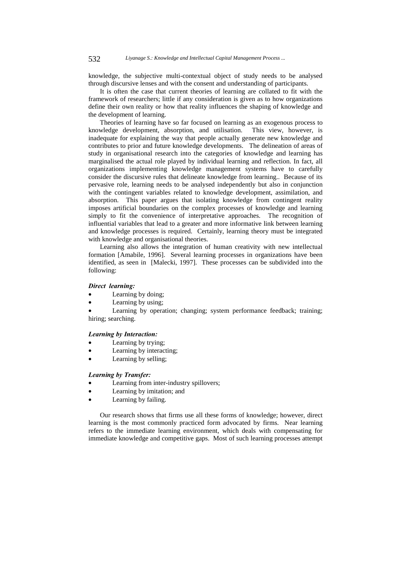knowledge, the subjective multi-contextual object of study needs to be analysed through discursive lenses and with the consent and understanding of participants.

It is often the case that current theories of learning are collated to fit with the framework of researchers; little if any consideration is given as to how organizations define their own reality or how that reality influences the shaping of knowledge and the development of learning.

Theories of learning have so far focused on learning as an exogenous process to knowledge development, absorption, and utilisation. This view, however, is inadequate for explaining the way that people actually generate new knowledge and contributes to prior and future knowledge developments. The delineation of areas of study in organisational research into the categories of knowledge and learning has marginalised the actual role played by individual learning and reflection. In fact, all organizations implementing knowledge management systems have to carefully consider the discursive rules that delineate knowledge from learning.. Because of its pervasive role, learning needs to be analysed independently but also in conjunction with the contingent variables related to knowledge development, assimilation, and absorption. This paper argues that isolating knowledge from contingent reality imposes artificial boundaries on the complex processes of knowledge and learning simply to fit the convenience of interpretative approaches. The recognition of influential variables that lead to a greater and more informative link between learning and knowledge processes is required. Certainly, learning theory must be integrated with knowledge and organisational theories.

Learning also allows the integration of human creativity with new intellectual formation [Amabile, 1996]. Several learning processes in organizations have been identified, as seen in [Malecki, 1997]. These processes can be subdivided into the following:

#### Direct learning:

- Learning by doing;
- Learning by using;

Learning by operation; changing; system performance feedback; training; hiring; searching.

#### **Learning by Interaction:**

- Learning by trying;
- Learning by interacting;
- Learning by selling;

#### **Learning by Transfer:**

- Learning from inter-industry spillovers;
- Learning by imitation; and
- Learning by failing.

Our research shows that firms use all these forms of knowledge; however, direct learning is the most commonly practiced form advocated by firms. Near learning refers to the immediate learning environment, which deals with compensating for immediate knowledge and competitive gaps. Most of such learning processes attempt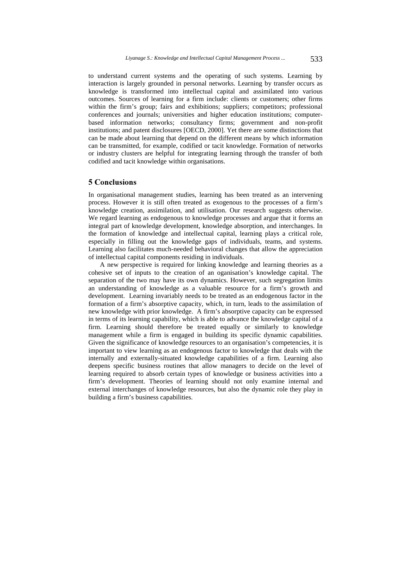to understand current systems and the operating of such systems. Learning by interaction is largely grounded in personal networks. Learning by transfer occurs as knowledge is transformed into intellectual capital and assimilated into various outcomes. Sources of learning for a firm include: clients or customers; other firms within the firm's group; fairs and exhibitions; suppliers; competitors; professional conferences and journals; universities and higher education institutions; computerbased information networks; consultancy firms; government and non-profit institutions; and patent disclosures [OECD, 2000]. Yet there are some distinctions that can be made about learning that depend on the different means by which information can be transmitted, for example, codified or tacit knowledge. Formation of networks or industry clusters are helpful for integrating learning through the transfer of both codified and tacit knowledge within organisations.

### **5 Conclusions**

In organisational management studies, learning has been treated as an intervening process. However it is still often treated as exogenous to the processes of a firm's knowledge creation, assimilation, and utilisation. Our research suggests otherwise. We regard learning as endogenous to knowledge processes and argue that it forms an integral part of knowledge development, knowledge absorption, and interchanges. In the formation of knowledge and intellectual capital, learning plays a critical role, especially in filling out the knowledge gaps of individuals, teams, and systems. Learning also facilitates much-needed behavioral changes that allow the appreciation of intellectual capital components residing in individuals.

A new perspective is required for linking knowledge and learning theories as a cohesive set of inputs to the creation of an oganisation's knowledge capital. The separation of the two may have its own dynamics. However, such segregation limits an understanding of knowledge as a valuable resource for a firm's growth and development. Learning invariably needs to be treated as an endogenous factor in the formation of a firm's absorptive capacity, which, in turn, leads to the assimilation of new knowledge with prior knowledge. A firm's absorptive capacity can be expressed in terms of its learning capability, which is able to advance the knowledge capital of a firm. Learning should therefore be treated equally or similarly to knowledge management while a firm is engaged in building its specific dynamic capabilities. Given the significance of knowledge resources to an organisation's competencies, it is important to view learning as an endogenous factor to knowledge that deals with the internally and externally-situated knowledge capabilities of a firm. Learning also deepens specific business routines that allow managers to decide on the level of learning required to absorb certain types of knowledge or business activities into a firm's development. Theories of learning should not only examine internal and external interchanges of knowledge resources, but also the dynamic role they play in building a firm's business capabilities.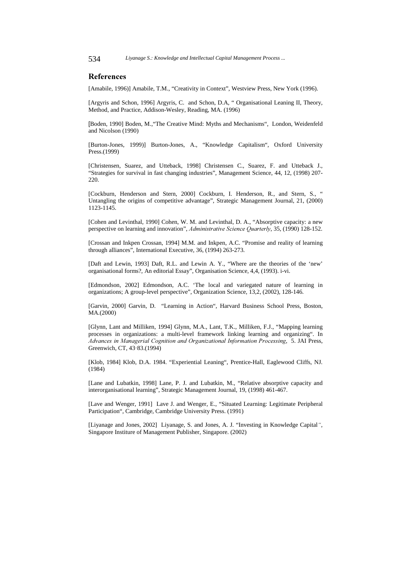534 *Liyanage S.: Knowledge and Intellectual Capital Management Process ...*

### References

[Amabile, 1996)] Amabile, T.M., "Creativity in Context", Westview Press, New York (1996).

[Argyris and Schon, 1996] Argyris, C. and Schon, D.A, " Organisational Leaning II, Theory, Method, and Practice, Addison-Wesley, Reading, MA. (1996)

[Boden, 1990] Boden, M.,"The Creative Mind: Myths and Mechanisms", London, Weidenfeld and Nicolson (1990)

[Burton-Jones, 1999)] Burton-Jones, A., "Knowledge Capitalism", Oxford University Press.(1999)

[Christensen, Suarez, and Utteback, 1998] Christensen C., Suarez, F. and Utteback J., "Strategies for survival in fast changing industries", Management Science, 44, 12, (1998) 207- 220.

[Cockburn, Henderson and Stern, 2000] Cockburn, I. Henderson, R., and Stern, S., " Untangling the origins of competitive advantage", Strategic Management Journal, 21, (2000) 1123-1145.

[Cohen and Levinthal, 1990] Cohen, W. M. and Levinthal, D. A., "Absorptive capacity: a new perspective on learning and innovation", Administrative Science Quarterly, 35, (1990) 128-152.

[Crossan and Inkpen Crossan, 1994] M.M. and Inkpen, A.C. "Promise and reality of learning through alliances", International Executive, 36, (1994) 263-273.

[Daft and Lewin, 1993] Daft, R.L. and Lewin A. Y., "Where are the theories of the 'new' organisational forms?, An editorial Essay", Organisation Science, 4,4, (1993). i-vi.

[Edmondson, 2002] Edmondson, A.C. 'The local and variegated nature of learning in organizations; A group-level perspective", Organization Science, 13,2, (2002), 128-146.

[Garvin, 2000] Garvin, D. "Learning in Action", Harvard Business School Press, Boston, MA.(2000)

[Glynn, Lant and Milliken, 1994] Glynn, M.A., Lant, T.K., Milliken, F.J., "Mapping learning processes in organizations: a multi-level framework linking learning and organizing". In Advances in Managerial Cognition and Organizational Information Processing, 5. JAI Press, Greenwich, CT, 43¯83.(1994)

[Klob, 1984] Klob, D.A. 1984. "Experiential Leaning", Prentice-Hall, Eaglewood Cliffs, NJ. (1984)

[Lane and Lubatkin, 1998] Lane, P. J. and Lubatkin, M., "Relative absorptive capacity and interorganisational learning", Strategic Management Journal, 19, (1998) 461-467.

[Lave and Wenger, 1991] Lave J. and Wenger, E., "Situated Learning: Legitimate Peripheral Participation", Cambridge, Cambridge University Press. (1991)

[Liyanage and Jones, 2002] Liyanage, S. and Jones, A. J. "Investing in Knowledge Capital", Singapore Institure of Management Publisher, Singapore. (2002)